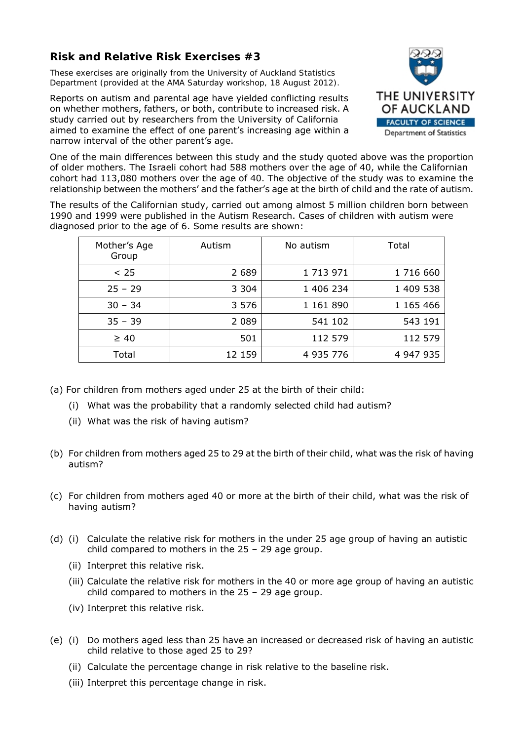## **Risk and Relative Risk Exercises #3**

*These exercises are originally from the University of Auckland Statistics Department (provided at the AMA Saturday workshop, 18 August 2012).* 

Reports on autism and parental age have yielded conflicting results on whether mothers, fathers, or both, contribute to increased risk. A study carried out by researchers from the University of California aimed to examine the effect of one parent's increasing age within a narrow interval of the other parent's age.



One of the main differences between this study and the study quoted above was the proportion of older mothers. The Israeli cohort had 588 mothers over the age of 40, while the Californian cohort had 113,080 mothers over the age of 40. The objective of the study was to examine the relationship between the mothers' and the father's age at the birth of child and the rate of autism.

The results of the Californian study, carried out among almost 5 million children born between 1990 and 1999 were published in the Autism Research. Cases of children with autism were diagnosed prior to the age of 6. Some results are shown:

| Mother's Age<br>Group | Autism  | No autism | Total     |
|-----------------------|---------|-----------|-----------|
| < 25                  | 2 6 8 9 | 1 713 971 | 1 716 660 |
| $25 - 29$             | 3 3 0 4 | 1 406 234 | 1 409 538 |
| $30 - 34$             | 3 5 7 6 | 1 161 890 | 1 165 466 |
| $35 - 39$             | 2 0 8 9 | 541 102   | 543 191   |
| $\geq 40$             | 501     | 112 579   | 112 579   |
| Total                 | 12 159  | 4 935 776 | 4 947 935 |

- (a) For children from mothers aged under 25 at the birth of their child:
	- (i) What was the probability that a randomly selected child had autism?
	- (ii) What was the risk of having autism?
- (b) For children from mothers aged 25 to 29 at the birth of their child, what was the risk of having autism?
- (c) For children from mothers aged 40 or more at the birth of their child, what was the risk of having autism?
- (d) (i) Calculate the relative risk for mothers in the under 25 age group of having an autistic child compared to mothers in the 25 – 29 age group.
	- (ii) Interpret this relative risk.
	- (iii) Calculate the relative risk for mothers in the 40 or more age group of having an autistic child compared to mothers in the 25 – 29 age group.
	- (iv) Interpret this relative risk.
- (e) (i) Do mothers aged less than 25 have an increased or decreased risk of having an autistic child relative to those aged 25 to 29?
	- (ii) Calculate the percentage change in risk relative to the baseline risk.
	- (iii) Interpret this percentage change in risk.